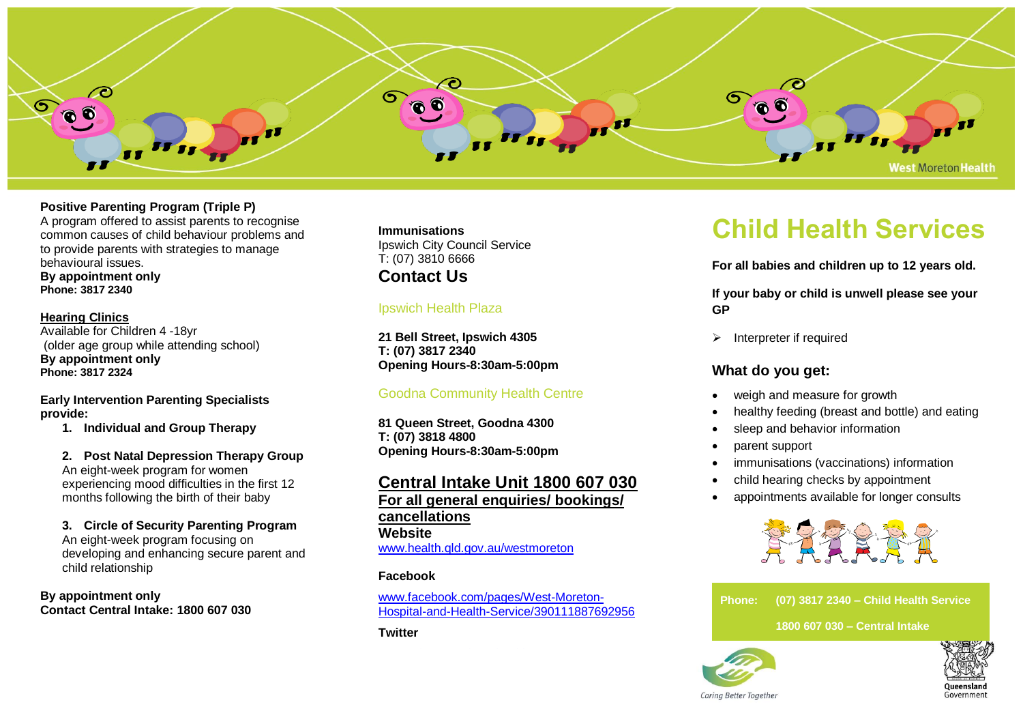

# **Positive Parenting Program (Triple P)**

A program offered to assist parents to recognise common causes of child behaviour problems and to provide parents with strategies to manage behavioural issues.

**By appointment only Phone: 3817 2340**

**Hearing Clinics** Available for Children 4 -18yr (older age group while attending school) **By appointment only Phone: 3817 2324**

**Early Intervention Parenting Specialists provide:**

**1. Individual and Group Therapy**

**2. Post Natal Depression Therapy Group** An eight-week program for women experiencing mood difficulties in the first 12 months following the birth of their baby

**3. Circle of Security Parenting Program** An eight-week program focusing on developing and enhancing secure parent and child relationship

**By appointment only Contact Central Intake: 1800 607 030**

#### **Immunisations**

Ipswich City Council Service T: (07) 3810 6666 **Contact Us**

## Ipswich Health Plaza

**21 Bell Street, Ipswich 4305 T: (07) 3817 2340 Opening Hours-8:30am-5:00pm**

## Goodna Community Health Centre

**81 Queen Street, Goodna 4300 T: (07) 3818 4800 Opening Hours-8:30am-5:00pm**

# **Central Intake Unit 1800 607 030 For all general enquiries/ bookings/ cancellations Website** [www.health.qld.gov.au/westmoreton](http://www.health.qld.gov.au/westmoreton)

#### **Facebook**

[www.facebook.com/pages/West-Moreton-](http://www.facebook.com/pages/West-Moreton-Hospital-and-Health-Service/390111887692956)[Hospital-and-Health-Service/390111887692956](http://www.facebook.com/pages/West-Moreton-Hospital-and-Health-Service/390111887692956)

**Twitter**

# **Child Health Services**

**For all babies and children up to 12 years old.**

**If your baby or child is unwell please see your GP**

➢ Interpreter if required

# **What do you get:**

- weigh and measure for growth
- healthy feeding (breast and bottle) and eating
- sleep and behavior information
- parent support
- immunisations (vaccinations) information
- child hearing checks by appointment
- appointments available for longer consults

![](_page_0_Picture_32.jpeg)

**Phone: (07) 3817 2340 – Child Health Service**

 **1800 607 030 – Central Intake**

![](_page_0_Picture_35.jpeg)

![](_page_0_Picture_36.jpeg)

Carina Better Together

![](_page_0_Picture_38.jpeg)